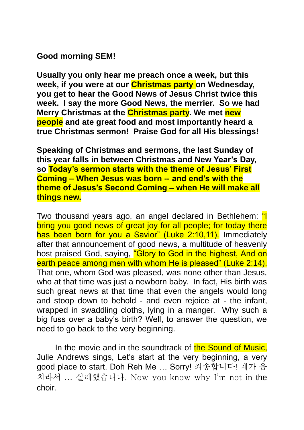# **Good morning SEM!**

**Usually you only hear me preach once a week, but this week, if you were at our Christmas party on Wednesday, you get to hear the Good News of Jesus Christ twice this week. I say the more Good News, the merrier. So we had Merry Christmas at the Christmas party. We met new people and ate great food and most importantly heard a true Christmas sermon! Praise God for all His blessings!** 

**Speaking of Christmas and sermons, the last Sunday of this year falls in between Christmas and New Year's Day, so Today's sermon starts with the theme of Jesus' First Coming – When Jesus was born -- and end's with the theme of Jesus's Second Coming – when He will make all things new.**

Two thousand years ago, an angel declared in Bethlehem: "I bring you good news of great joy for all people; for today there has been born for you a Savior" (Luke 2:10,11). Immediately after that announcement of good news, a multitude of heavenly host praised God, saying, "Glory to God in the highest, And on earth peace among men with whom He is pleased" (Luke 2:14). That one, whom God was pleased, was none other than Jesus, who at that time was just a newborn baby. In fact, His birth was such great news at that time that even the angels would long and stoop down to behold - and even rejoice at - the infant, wrapped in swaddling cloths, lying in a manger. Why such a big fuss over a baby's birth? Well, to answer the question, we need to go back to the very beginning.

In the movie and in the soundtrack of the Sound of Music. Julie Andrews sings, Let's start at the very beginning, a very good place to start. Doh Reh Me … Sorry! 죄송합니다! 재가 음 치라서 … 실레헀습니다. Now you know why I'm not in the choir.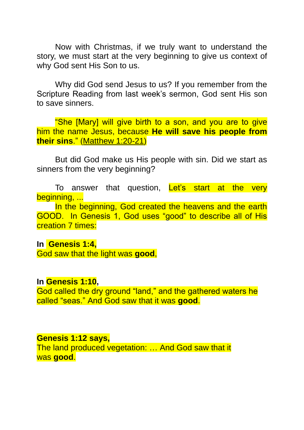Now with Christmas, if we truly want to understand the story, we must start at the very beginning to give us context of why God sent His Son to us.

Why did God send Jesus to us? If you remember from the Scripture Reading from last week's sermon, God sent His son to save sinners.

"She [Mary] will give birth to a son, and you are to give him the name Jesus, because **He will save his people from their sins**." [\(Matthew 1:20-21\)](https://biblia.com/bible/niv/Matt%201.20-21)

But did God make us His people with sin. Did we start as sinners from the very beginning?

To answer that question, Let's start at the very beginning, ...

In the beginning, God created the heavens and the earth GOOD. In Genesis 1, God uses "good" to describe all of His creation 7 times:

#### **In [Genesis 1:4,](https://www.biblegateway.com/passage/?search=Genesis+1:4&version=NIV)**

God saw that the light was **good**,

#### **In [Genesis 1:10,](https://www.biblegateway.com/passage/?search=Genesis+1:10&version=NIV)**

God called the dry ground "land," and the gathered waters he called "seas." And God saw that it was **good**.

#### **[Genesis 1:12](https://www.biblegateway.com/passage/?search=Genesis+1:12&version=NIV) says,**

The land produced vegetation: … And God saw that it was **good**.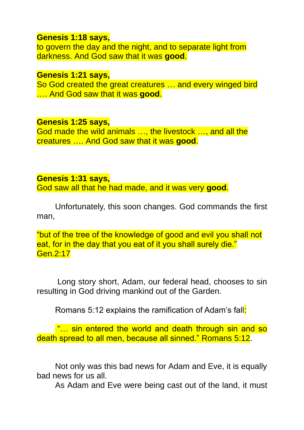#### **[Genesis 1:18](https://www.biblegateway.com/passage/?search=Genesis+1:18&version=NIV) says,**

to govern the day and the night, and to separate light from darkness. And God saw that it was **good**.

#### **[Genesis 1:21](https://www.biblegateway.com/passage/?search=Genesis+1:21&version=NIV) says,**

So God created the great creatures … and every winged bird …. And God saw that it was **good**.

#### **[Genesis 1:25](https://www.biblegateway.com/passage/?search=Genesis+1:25&version=NIV) says,**

God made the wild animals …, the livestock …, and all the creatures …. And God saw that it was **good**.

#### **[Genesis 1:31](https://www.biblegateway.com/passage/?search=Genesis+1:31&version=NIV) says,**

God saw all that he had made, and it was very **good**.

Unfortunately, this soon changes. God commands the first man,

"but of the tree of the knowledge of good and evil you shall not eat, for in the day that you eat of it you shall surely die." Gen.2:17

Long story short, Adam, our federal head, chooses to sin resulting in God driving mankind out of the Garden.

Romans 5:12 explains the ramification of Adam's fall:

"… sin entered the world and death through sin and so death spread to all men, because all sinned." Romans 5:12.

Not only was this bad news for Adam and Eve, it is equally bad news for us all.

As Adam and Eve were being cast out of the land, it must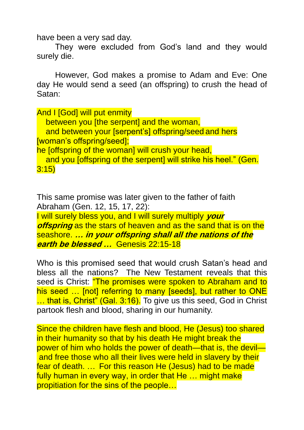have been a very sad day.

They were excluded from God's land and they would surely die.

However, God makes a promise to Adam and Eve: One day He would send a seed (an offspring) to crush the head of Satan:

**And I [God] will put enmity** between you [the serpent] and the woman, and between your [serpent's] offspring/seed and hers [woman's offspring/seed]; he *[offspring of the woman] will crush your head*, and you [offspring of the serpent] will strike his heel." (Gen.

3:15)

This same promise was later given to the father of faith Abraham (Gen. 12, 15, 17, 22):

I will surely bless you, and I will surely multiply **your offspring** as the stars of heaven and as the sand that is on the seashore. **… in your offspring shall all the nations of the earth be blessed …** Genesis 22:15-18

Who is this promised seed that would crush Satan's head and bless all the nations? The New Testament reveals that this seed is Christ: *"The promises were spoken to Abraham and to* his seed ... [not] referring to many [seeds], but rather to ONE ... that is, Christ" (Gal. 3:16). To give us this seed, God in Christ partook flesh and blood, sharing in our humanity.

Since the children have flesh and blood, He (Jesus) too shared in their humanity so that by his death He might break the power of him who holds the power of death—that is, the devil and free those who all their lives were held in slavery by their fear of death. … For this reason He (Jesus) had to be made fully human in every way, in order that He ... might make propitiation for the sins of the people…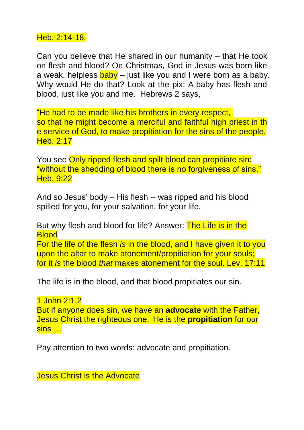## Heb. 2:14-18.

Can you believe that He shared in our humanity – that He took on flesh and blood? On Christmas, God in Jesus was born like a weak, helpless  $\frac{\text{baby}}{\text{a}y}$  – just like you and I were born as a baby. Why would He do that? Look at the pix: A baby has flesh and blood, just like you and me. Hebrews 2 says,

"He had to be made like his brothers in every respect, so that he might become a merciful and faithful high priest in th e service of God, to make propitiation for the sins of the people. Heb. 2:17

You see Only ripped flesh and spilt blood can propitiate sin: "without the shedding of blood there is no forgiveness of sins." Heb. 9:22

And so Jesus' body – His flesh -- was ripped and his blood spilled for you, for your salvation, for your life.

But why flesh and blood for life? Answer: The Life is in the **Blood** For the life of the flesh *is* in the blood, and I have given it to you upon the altar to make atonement/propitiation for your souls; for it *is* the blood *that* makes atonement for the soul. Lev. 17:11

The life is in the blood, and that blood propitiates our sin.

1 John 2:1,2 But if anyone does sin, we have an **advocate** with the Father, Jesus Christ the righteous one. He is the **propitiation** for our sins …

Pay attention to two words: advocate and propitiation.

Jesus Christ is the Advocate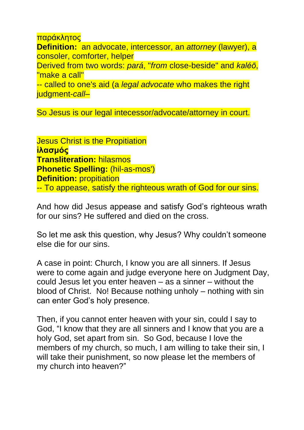παράκλητος **Definition:** an advocate, intercessor, an *attorney* (lawyer), a consoler, comforter, helper Derived from two words: *pará*, "*from* close-beside" and *kaléō*, "make a call" -- called to one's aid (a *legal advocate* who makes the right judgment-*call*–

So Jesus is our legal intecessor/advocate/attorney in court.

**Jesus Christ is the Propitiation ἱλασμός Transliteration:** hilasmos **Phonetic Spelling:** (hil-as-mos') **Definition:** propitiation -- To appease, satisfy the righteous wrath of God for our sins.

And how did Jesus appease and satisfy God's righteous wrath for our sins? He suffered and died on the cross.

So let me ask this question, why Jesus? Why couldn't someone else die for our sins.

A case in point: Church, I know you are all sinners. If Jesus were to come again and judge everyone here on Judgment Day, could Jesus let you enter heaven – as a sinner – without the blood of Christ. No! Because nothing unholy – nothing with sin can enter God's holy presence.

Then, if you cannot enter heaven with your sin, could I say to God, "I know that they are all sinners and I know that you are a holy God, set apart from sin. So God, because I love the members of my church, so much, I am willing to take their sin, I will take their punishment, so now please let the members of my church into heaven?"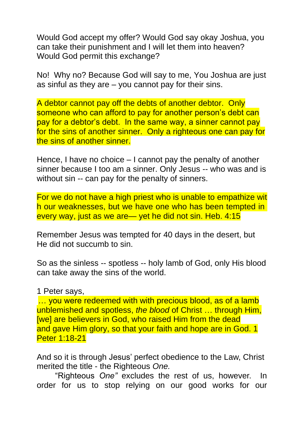Would God accept my offer? Would God say okay Joshua, you can take their punishment and I will let them into heaven? Would God permit this exchange?

No! Why no? Because God will say to me, You Joshua are just as sinful as they are  $-$  you cannot pay for their sins.

A debtor cannot pay off the debts of another debtor. Only someone who can afford to pay for another person's debt can pay for a debtor's debt. In the same way, a sinner cannot pay for the sins of another sinner. Only a righteous one can pay for the sins of another sinner.

Hence, I have no choice – I cannot pay the penalty of another sinner because I too am a sinner. Only Jesus -- who was and is without sin -- can pay for the penalty of sinners.

For we do not have a high priest who is unable to empathize wit h our weaknesses, but we have one who has been tempted in every way, just as we are— yet he did not sin. Heb. 4:15

Remember Jesus was tempted for 40 days in the desert, but He did not succumb to sin.

So as the sinless -- spotless -- holy lamb of God, only His blood can take away the sins of the world.

1 Peter says,

... you were redeemed with with precious blood, as of a lamb unblemished and spotless, *the blood* of Christ … through Him, [we] are believers in God, who raised Him from the dead and gave Him glory, so that your faith and hope are in God. 1 Peter 1:18-21

And so it is through Jesus' perfect obedience to the Law, Christ merited the title - the Righteous *One.*

"Righteous *One"* excludes the rest of us, however. In order for us to stop relying on our good works for our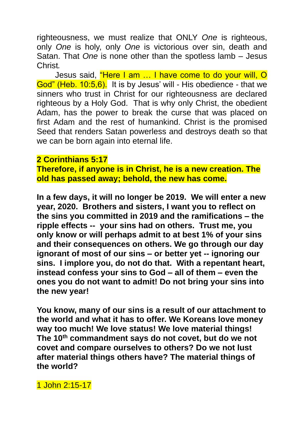righteousness, we must realize that ONLY *One* is righteous, only *One* is holy, only *One* is victorious over sin, death and Satan. That *One* is none other than the spotless lamb – Jesus Christ*.*

Jesus said, "Here I am … I have come to do your will, O God" (Heb. 10:5,6). It is by Jesus' will - His obedience - that we sinners who trust in Christ for our righteousness are declared righteous by a Holy God. That is why only Christ, the obedient Adam, has the power to break the curse that was placed on first Adam and the rest of humankind. Christ is the promised Seed that renders Satan powerless and destroys death so that we can be born again into eternal life.

### **2 Corinthians 5:17**

**Therefore, if anyone is in Christ, he is a new creation. The old has passed away; behold, the new has come.**

**In a few days, it will no longer be 2019. We will enter a new year, 2020. Brothers and sisters, I want you to reflect on the sins you committed in 2019 and the ramifications – the ripple effects -- your sins had on others. Trust me, you only know or will perhaps admit to at best 1% of your sins and their consequences on others. We go through our day ignorant of most of our sins – or better yet -- ignoring our sins. I implore you, do not do that. With a repentant heart, instead confess your sins to God – all of them – even the ones you do not want to admit! Do not bring your sins into the new year!** 

**You know, many of our sins is a result of our attachment to the world and what it has to offer. We Koreans love money way too much! We love status! We love material things! The 10th commandment says do not covet, but do we not covet and compare ourselves to others? Do we not lust after material things others have? The material things of the world?**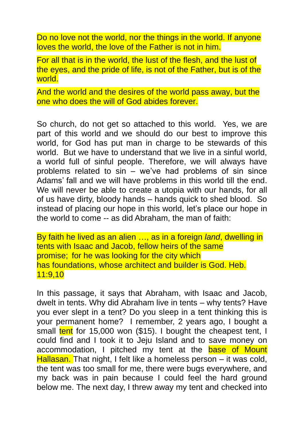Do no love not the world, nor the things in the world. If anyone loves the world, the love of the Father is not in him.

For all that is in the world, the lust of the flesh, and the lust of the eyes, and the pride of life, is not of the Father, but is of the world.

And the world and the desires of the world pass away, but the one who does the will of God abides forever.

So church, do not get so attached to this world. Yes, we are part of this world and we should do our best to improve this world, for God has put man in charge to be stewards of this world. But we have to understand that we live in a sinful world, a world full of sinful people. Therefore, we will always have problems related to sin – we've had problems of sin since Adams' fall and we will have problems in this world till the end. We will never be able to create a utopia with our hands, for all of us have dirty, bloody hands – hands quick to shed blood. So instead of placing our hope in this world, let's place our hope in the world to come -- as did Abraham, the man of faith:

By faith he lived as an alien …, as in a foreign *land*, dwelling in tents with Isaac and Jacob, fellow heirs of the same promise; for he was looking for the city which has foundations, whose architect and builder is God. Heb. 11:9,10

In this passage, it says that Abraham, with Isaac and Jacob, dwelt in tents. Why did Abraham live in tents – why tents? Have you ever slept in a tent? Do you sleep in a tent thinking this is your permanent home? I remember, 2 years ago, I bought a small tent for 15,000 won (\$15). I bought the cheapest tent, I could find and I took it to Jeju Island and to save money on accommodation, I pitched my tent at the base of Mount Hallasan. That night, I felt like a homeless person – it was cold, the tent was too small for me, there were bugs everywhere, and my back was in pain because I could feel the hard ground below me. The next day, I threw away my tent and checked into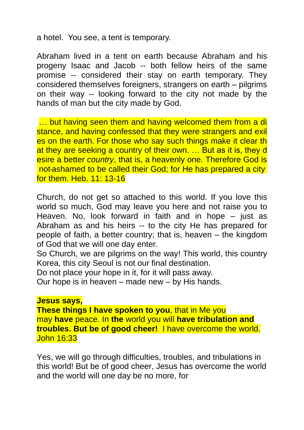a hotel. You see, a tent is temporary.

Abraham lived in a tent on earth because Abraham and his progeny Isaac and Jacob -- both fellow heirs of the same promise -- considered their stay on earth temporary. They considered themselves foreigners, strangers on earth – pilgrims on their way -- looking forward to the city not made by the hands of man but the city made by God.

... but having seen them and having welcomed them from a di stance, and having confessed that they were strangers and exil es on the earth. For those who say such things make it clear th at they are seeking a country of their own. … But as it is, they d esire a better *country*, that is, a heavenly one. Therefore God is not ashamed to be called their God; for He has prepared a city for them. Heb. 11: 13-16

Church, do not get so attached to this world. If you love this world so much, God may leave you here and not raise you to Heaven. No, look forward in faith and in hope – just as Abraham as and his heirs -- to the city He has prepared for people of faith, a better country; that is, heaven – the kingdom of God that we will one day enter.

So Church, we are pilgrims on the way! This world, this country Korea, this city Seoul is not our final destination.

Do not place your hope in it, for it will pass away.

Our hope is in heaven – made new – by His hands.

#### **Jesus says,**

**These things I have spoken to you**, that in Me you may **have** peace. In **the** world you will **have tribulation and troubles. But be of good cheer!** I have overcome the world. John 16:33

Yes, we will go through difficulties, troubles, and tribulations in this world! But be of good cheer, Jesus has overcome the world and the world will one day be no more, for